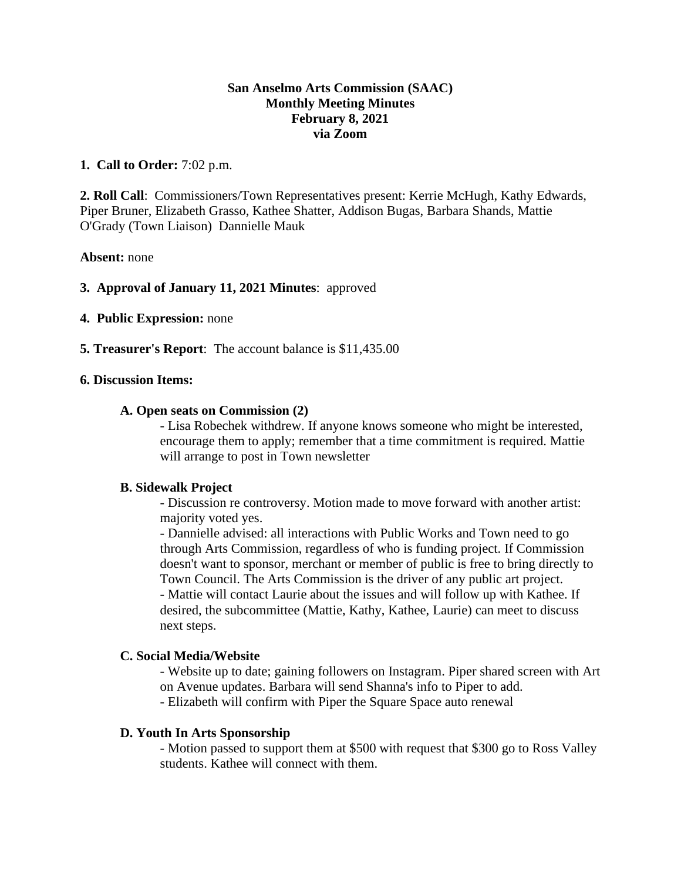# **San Anselmo Arts Commission (SAAC) Monthly Meeting Minutes February 8, 2021 via Zoom**

### **1. Call to Order:** 7:02 p.m.

**2. Roll Call**: Commissioners/Town Representatives present: Kerrie McHugh, Kathy Edwards, Piper Bruner, Elizabeth Grasso, Kathee Shatter, Addison Bugas, Barbara Shands, Mattie O'Grady (Town Liaison) Dannielle Mauk

### **Absent:** none

# **3. Approval of January 11, 2021 Minutes**: approved

- **4. Public Expression:** none
- **5. Treasurer's Report**: The account balance is \$11,435.00

### **6. Discussion Items:**

#### **A. Open seats on Commission (2)**

- Lisa Robechek withdrew. If anyone knows someone who might be interested, encourage them to apply; remember that a time commitment is required. Mattie will arrange to post in Town newsletter

### **B. Sidewalk Project**

- Discussion re controversy. Motion made to move forward with another artist: majority voted yes.

- Dannielle advised: all interactions with Public Works and Town need to go through Arts Commission, regardless of who is funding project. If Commission doesn't want to sponsor, merchant or member of public is free to bring directly to Town Council. The Arts Commission is the driver of any public art project. - Mattie will contact Laurie about the issues and will follow up with Kathee. If desired, the subcommittee (Mattie, Kathy, Kathee, Laurie) can meet to discuss next steps.

### **C. Social Media/Website**

- Website up to date; gaining followers on Instagram. Piper shared screen with Art on Avenue updates. Barbara will send Shanna's info to Piper to add. - Elizabeth will confirm with Piper the Square Space auto renewal

#### **D. Youth In Arts Sponsorship**

- Motion passed to support them at \$500 with request that \$300 go to Ross Valley students. Kathee will connect with them.